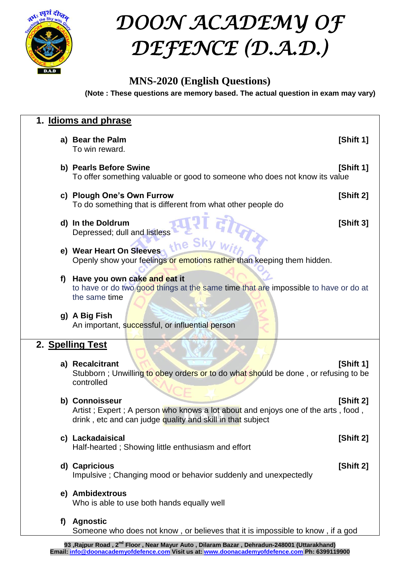

## *DOON ACADEMY OF DEFENCE (D.A.D.)*

### **MNS-2020 (English Questions)**

**(Note : These questions are memory based. The actual question in exam may vary)**

|                  | 1. Idioms and phrase                                                                                                                                                          |  |  |
|------------------|-------------------------------------------------------------------------------------------------------------------------------------------------------------------------------|--|--|
|                  | a) Bear the Palm<br>[Shift 1]<br>To win reward.                                                                                                                               |  |  |
|                  | b) Pearls Before Swine<br>[Shift 1]<br>To offer something valuable or good to someone who does not know its value                                                             |  |  |
|                  | c) Plough One's Own Furrow<br>[Shift 2]<br>To do something that is different from what other people do                                                                        |  |  |
|                  | d) In the Doldrum<br>[Shift 3]<br>Depressed; dull and listless                                                                                                                |  |  |
|                  | the Sk<br>e) Wear Heart On Sleeves<br>Openly show your feelings or emotions rather than keeping them hidden.                                                                  |  |  |
| f)               | Have you own cake and eat it<br>to have or do two good things at the same time that are impossible to have or do at<br>the same time                                          |  |  |
|                  | g) A Big Fish<br>An important, successful, or influential person                                                                                                              |  |  |
| 2. Spelling Test |                                                                                                                                                                               |  |  |
|                  | a) Recalcitrant<br>[Shift 1]<br>Stubborn; Unwilling to obey orders or to do what should be done, or refusing to be<br>controlled                                              |  |  |
|                  | b) Connoisseur<br>[Shift 2]<br>Artist; Expert; A person who knows a lot about and enjoys one of the arts, food,<br>drink, etc and can judge quality and skill in that subject |  |  |
|                  | c) Lackadaisical<br>[Shift 2]<br>Half-hearted; Showing little enthusiasm and effort                                                                                           |  |  |
|                  | d) Capricious<br>[Shift 2]<br>Impulsive; Changing mood or behavior suddenly and unexpectedly                                                                                  |  |  |
|                  | e) Ambidextrous<br>Who is able to use both hands equally well                                                                                                                 |  |  |
| f)               | <b>Agnostic</b><br>Someone who does not know, or believes that it is impossible to know, if a god                                                                             |  |  |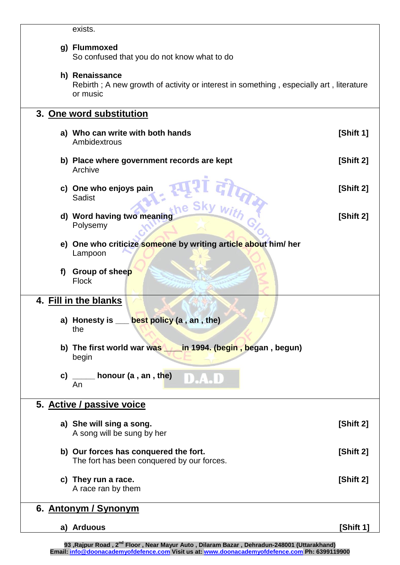| u<br>c |  |
|--------|--|
|        |  |

## **g) Flummoxed**

So confused that you do not know what to do

#### **h) Renaissance**

Rebirth ; A new growth of activity or interest in something , especially art , literature or music

## **3. One word substitution a) Who can write with both hands [Shift 1]** Ambidextrous **b)** Place where government records are kept [Shift 2] Archive **c)** One who enjoys pain **[Shift 2]**<br>
Sadist the Sky with [Shift 2]<br>
[Shift 2] **Sadist d)** Word having two meaning **and in the same of the same of the same of the same of the same of**  $\mathbb{S}$ **hift 2]** Polysemy **e) One who criticize someone by writing article about him/ her** Lampoon **f) Group of sheep** Flock **4. Fill in the blanks a) Honesty is \_\_\_ best policy (a , an , the)** the **b) The first world war was \_\_\_\_in 1994. (begin , began , begun)** begin **c) \_\_\_\_\_ honour (a , an , the)** J.  $\Box$ An **5. Active / passive voice a) She will sing a song. [Shift 2]**  A song will be sung by her **b) Our forces has conquered the fort. [Shift 2]** The fort has been conquered by our forces. **c) They run a race. [Shift 2]** A race ran by them **6. Antonym / Synonym a) Arduous [Shift 1]**

**93 ,Rajpur Road , 2nd Floor , Near Mayur Auto , Dilaram Bazar , Dehradun-248001 (Uttarakhand) Email: info@doonacademyofdefence.com Visit us at: www.doonacademyofdefence.com Ph: 6399119900**